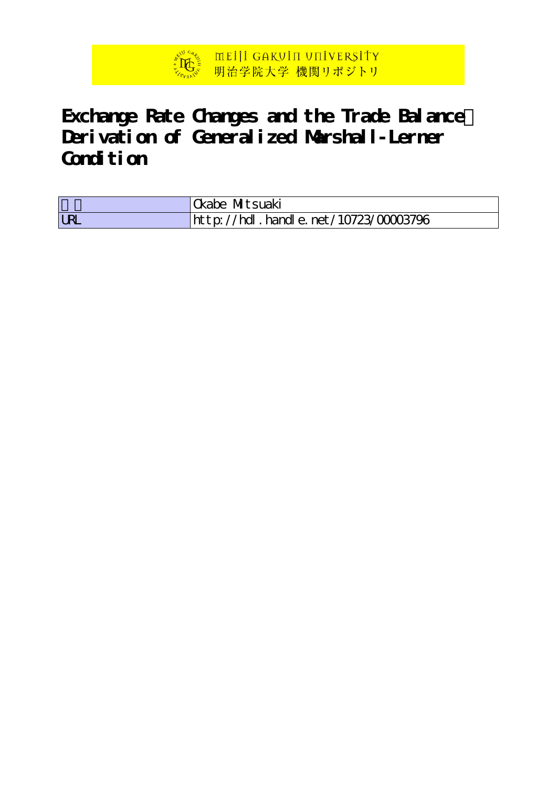

# **Exchange Rate Changes and the Trade Balance: Derivation of Generalized Marshall-Lerner** Condition

|            | Okabe Mitsuaki                       |
|------------|--------------------------------------|
| <b>LRL</b> | http://hdl.handle.net/10723/00003796 |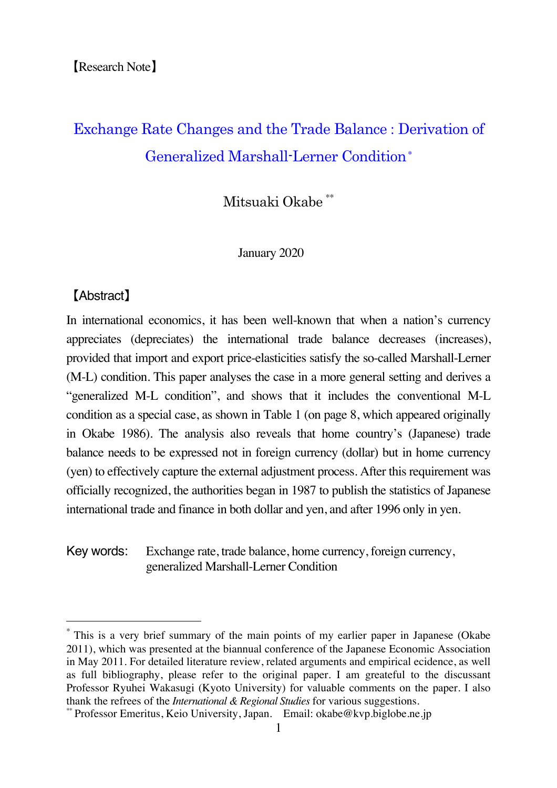# Exchange Rate Changes and the Trade Balance : Derivation of Generalized Marshall-Lerner Condition<sup>∗</sup>

Mitsuaki Okabe \*\*

January 2020

# 【Abstract】

In international economics, it has been well-known that when a nation's currency appreciates (depreciates) the international trade balance decreases (increases), provided that import and export price-elasticities satisfy the so-called Marshall-Lerner (M-L) condition. This paper analyses the case in a more general setting and derives a "generalized M-L condition", and shows that it includes the conventional M-L condition as a special case, as shown in Table 1 (on page 8, which appeared originally in Okabe 1986). The analysis also reveals that home country's (Japanese) trade balance needs to be expressed not in foreign currency (dollar) but in home currency (yen) to effectively capture the external adjustment process. After this requirement was officially recognized, the authorities began in 1987 to publish the statistics of Japanese international trade and finance in both dollar and yen, and after 1996 only in yen.

Key words: Exchange rate, trade balance, home currency, foreign currency, generalized Marshall-Lerner Condition

This is a very brief summary of the main points of my earlier paper in Japanese (Okabe 2011), which was presented at the biannual conference of the Japanese Economic Association in May 2011. For detailed literature review, related arguments and empirical ecidence, as well as full bibliography, please refer to the original paper. I am greateful to the discussant Professor Ryuhei Wakasugi (Kyoto University) for valuable comments on the paper. I also thank the refrees of the *International & Regional Studies* for various suggestions.

<sup>\*\*</sup> Professor Emeritus, Keio University, Japan. Email: okabe@kvp.biglobe.ne.jp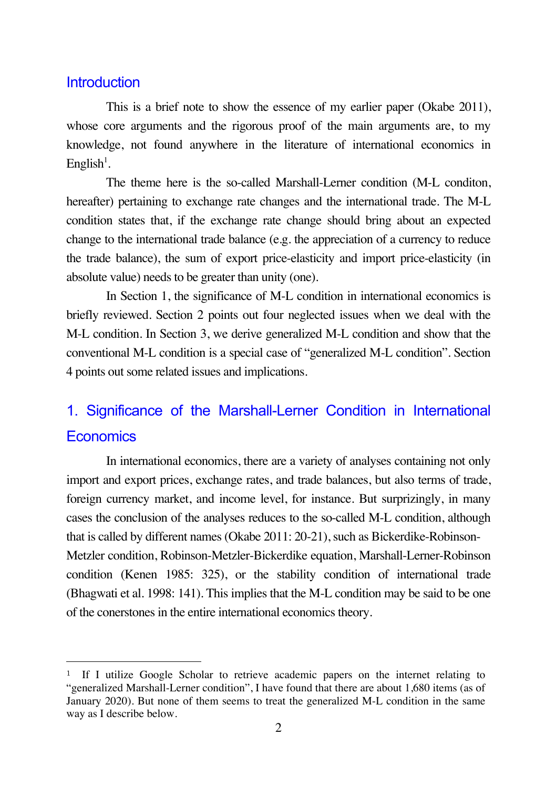### **Introduction**

This is a brief note to show the essence of my earlier paper (Okabe 2011), whose core arguments and the rigorous proof of the main arguments are, to my knowledge, not found anywhere in the literature of international economics in English<sup>1</sup>.

The theme here is the so-called Marshall-Lerner condition (M-L conditon, hereafter) pertaining to exchange rate changes and the international trade. The M-L condition states that, if the exchange rate change should bring about an expected change to the international trade balance (e.g. the appreciation of a currency to reduce the trade balance), the sum of export price-elasticity and import price-elasticity (in absolute value) needs to be greater than unity (one).

In Section 1, the significance of M-L condition in international economics is briefly reviewed. Section 2 points out four neglected issues when we deal with the M-L condition. In Section 3, we derive generalized M-L condition and show that the conventional M-L condition is a special case of "generalized M-L condition". Section 4 points out some related issues and implications.

# 1. Significance of the Marshall-Lerner Condition in International **Economics**

In international economics, there are a variety of analyses containing not only import and export prices, exchange rates, and trade balances, but also terms of trade, foreign currency market, and income level, for instance. But surprizingly, in many cases the conclusion of the analyses reduces to the so-called M-L condition, although that is called by different names (Okabe 2011: 20-21), such as Bickerdike-Robinson-Metzler condition, Robinson-Metzler-Bickerdike equation, Marshall-Lerner-Robinson condition (Kenen 1985: 325), or the stability condition of international trade (Bhagwati et al. 1998: 141). This implies that the M-L condition may be said to be one of the conerstones in the entire international economics theory.

<sup>1</sup> If I utilize Google Scholar to retrieve academic papers on the internet relating to "generalized Marshall-Lerner condition", I have found that there are about 1,680 items (as of January 2020). But none of them seems to treat the generalized M-L condition in the same way as I describe below.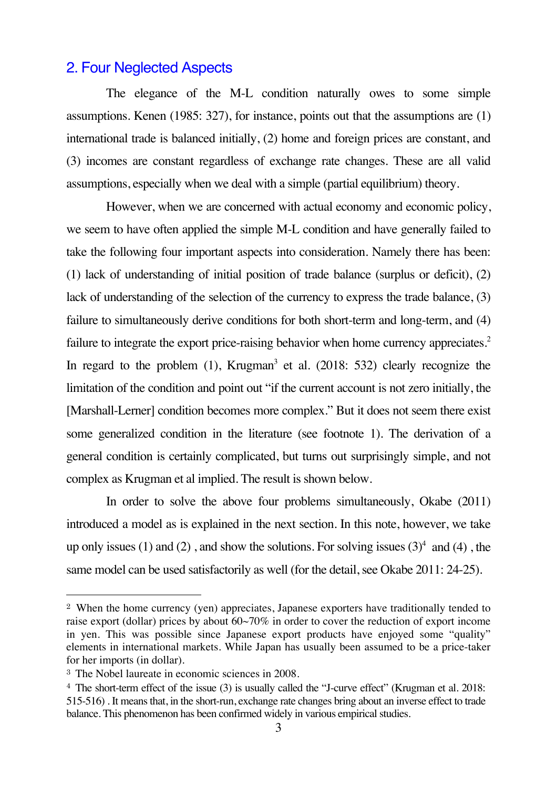# 2. Four Neglected Aspects

The elegance of the M-L condition naturally owes to some simple assumptions. Kenen (1985: 327), for instance, points out that the assumptions are (1) international trade is balanced initially, (2) home and foreign prices are constant, and (3) incomes are constant regardless of exchange rate changes. These are all valid assumptions, especially when we deal with a simple (partial equilibrium) theory.

However, when we are concerned with actual economy and economic policy, we seem to have often applied the simple M-L condition and have generally failed to take the following four important aspects into consideration. Namely there has been: (1) lack of understanding of initial position of trade balance (surplus or deficit), (2) lack of understanding of the selection of the currency to express the trade balance, (3) failure to simultaneously derive conditions for both short-term and long-term, and (4) failure to integrate the export price-raising behavior when home currency appreciates.<sup>2</sup> In regard to the problem  $(1)$ , Krugman<sup>3</sup> et al.  $(2018: 532)$  clearly recognize the limitation of the condition and point out "if the current account is not zero initially, the [Marshall-Lerner] condition becomes more complex." But it does not seem there exist some generalized condition in the literature (see footnote 1). The derivation of a general condition is certainly complicated, but turns out surprisingly simple, and not complex as Krugman et al implied. The result is shown below.

In order to solve the above four problems simultaneously, Okabe (2011) introduced a model as is explained in the next section. In this note, however, we take up only issues (1) and (2), and show the solutions. For solving issues  $(3)^4$  and (4), the same model can be used satisfactorily as well (for the detail, see Okabe 2011: 24-25).

<sup>2</sup> When the home currency (yen) appreciates, Japanese exporters have traditionally tended to raise export (dollar) prices by about 60~70% in order to cover the reduction of export income in yen. This was possible since Japanese export products have enjoyed some "quality" elements in international markets. While Japan has usually been assumed to be a price-taker for her imports (in dollar).

<sup>3</sup> The Nobel laureate in economic sciences in 2008.

<sup>4</sup> The short-term effect of the issue (3) is usually called the "J-curve effect" (Krugman et al. 2018: 515-516) . It means that, in the short-run, exchange rate changes bring about an inverse effect to trade balance. This phenomenon has been confirmed widely in various empirical studies.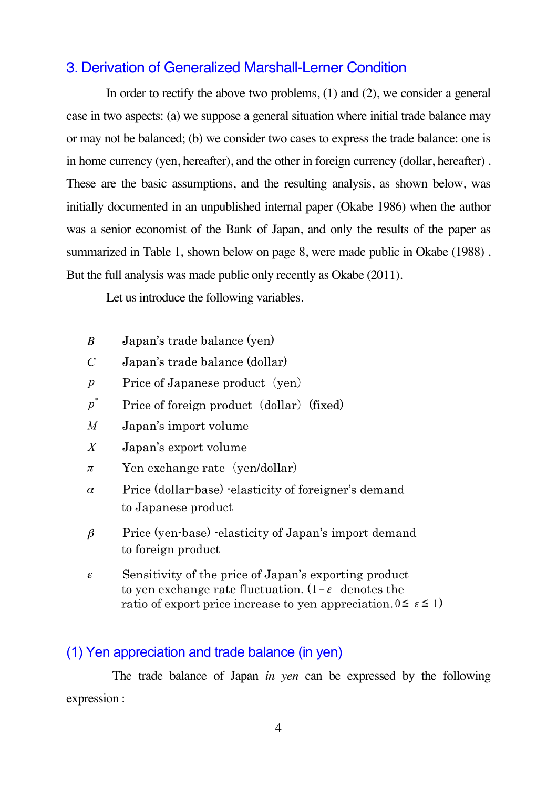# 3. Derivation of Generalized Marshall-Lerner Condition

In order to rectify the above two problems, (1) and (2), we consider a general case in two aspects: (a) we suppose a general situation where initial trade balance may or may not be balanced; (b) we consider two cases to express the trade balance: one is in home currency (yen, hereafter), and the other in foreign currency (dollar, hereafter) . These are the basic assumptions, and the resulting analysis, as shown below, was initially documented in an unpublished internal paper (Okabe 1986) when the author was a senior economist of the Bank of Japan, and only the results of the paper as summarized in Table 1, shown below on page 8, were made public in Okabe (1988) . But the full analysis was made public only recently as Okabe (2011).

Let us introduce the following variables.

- Japan's trade balance (yen)  $\boldsymbol{B}$
- $\overline{C}$ Japan's trade balance (dollar)
- $\overline{p}$ Price of Japanese product (yen)
- $p^*$ Price of foreign product (dollar) (fixed)
- Japan's import volume  $\overline{M}$
- Japan's export volume  $\boldsymbol{X}$
- Yen exchange rate (yen/dollar)  $\pi$
- Price (dollar-base) -elasticity of foreigner's demand  $\alpha$ to Japanese product
- Price (yen-base) -elasticity of Japan's import demand  $\beta$ to foreign product
- Sensitivity of the price of Japan's exporting product  $\pmb{\mathcal{E}}$ to yen exchange rate fluctuation.  $(1 - \varepsilon$  denotes the ratio of export price increase to yen appreciation.  $0 \le \varepsilon \le 1$ )

# (1) Yen appreciation and trade balance (in yen)

The trade balance of Japan *in yen* can be expressed by the following expression :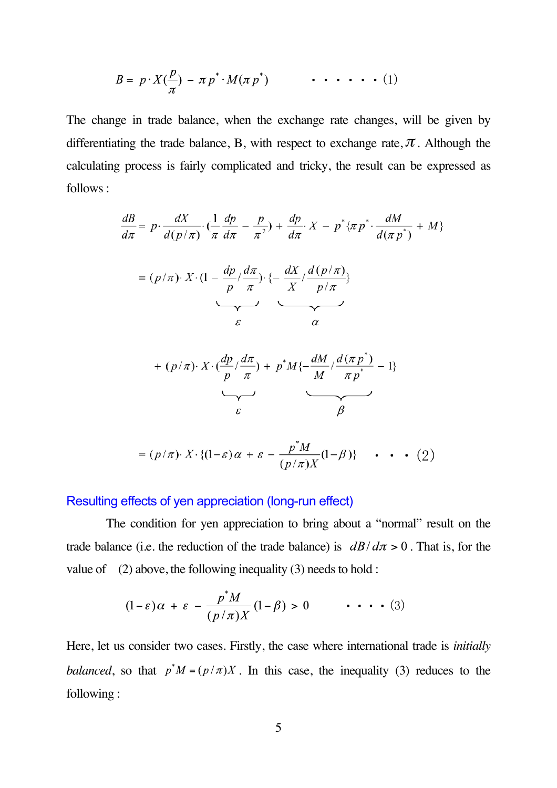$$
B = p \cdot X(\frac{p}{\pi}) - \pi p^* \cdot M(\pi p^*) \qquad \qquad \bullet \ \bullet \ \bullet \ \bullet \ \bullet \ (1)
$$

The change in trade balance, when the exchange rate changes, will be given by differentiating the trade balance, B, with respect to exchange rate,  $\pi$ . Although the calculating process is fairly complicated and tricky, the result can be expressed as follows :

$$
\frac{dB}{d\pi} = p \cdot \frac{dX}{d(p/\pi)} \cdot \left(\frac{1}{\pi} \frac{dp}{d\pi} - \frac{p}{\pi^2}\right) + \frac{dp}{d\pi} \cdot X - p^* \{\pi p^* \cdot \frac{dM}{d(\pi p^*)} + M\}
$$

$$
= (p/\pi) \cdot X \cdot \left(1 - \frac{dp}{p} / \frac{d\pi}{\pi}\right) \cdot \left\{-\frac{dX}{X} / \frac{d(p/\pi)}{p/\pi}\right\}
$$

+ 
$$
(p/\pi) \cdot X \cdot \left(\frac{dp}{p}/\frac{d\pi}{\pi}\right) + p^*M\left\{-\frac{dM}{M}/\frac{d(\pi p^*)}{\pi p^*} - 1\right\}
$$
  
\n $\varepsilon$ 

$$
= (p/\pi) \cdot X \cdot \{ (1-\varepsilon)\alpha + \varepsilon - \frac{p^*M}{(p/\pi)X} (1-\beta) \} \cdot \cdot \cdot (2)
$$

#### Resulting effects of yen appreciation (long-run effect)

The condition for yen appreciation to bring about a "normal" result on the trade balance (i.e. the reduction of the trade balance) is  $dB/d\pi > 0$ . That is, for the value of  $(2)$  above, the following inequality  $(3)$  needs to hold :

$$
(1 - \varepsilon)\alpha + \varepsilon - \frac{p^* M}{(p/\pi)X} (1 - \beta) > 0 \qquad \cdots \qquad (3)
$$

Here, let us consider two cases. Firstly, the case where international trade is *initially balanced*, so that  $p^*M = (p/\pi)X$ . In this case, the inequality (3) reduces to the following :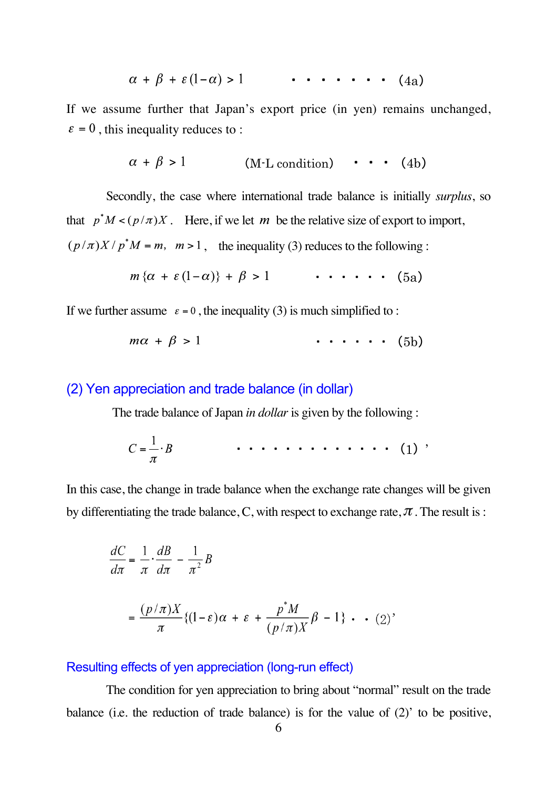$$
\alpha + \beta + \varepsilon (1 - \alpha) > 1 \qquad \cdots \qquad (4a)
$$

If we assume further that Japan's export price (in yen) remains unchanged,  $\epsilon = 0$ , this inequality reduces to :

$$
\alpha + \beta > 1 \qquad \qquad (M-L condition) \qquad \qquad (4b)
$$

Secondly, the case where international trade balance is initially *surplus*, so that  $p^*M < (p/\pi)X$ . Here, if we let m be the relative size of export to import,  $(p/\pi)X/p^*M = m$ ,  $m > 1$ , the inequality (3) reduces to the following :

$$
m\{\alpha + \varepsilon(1-\alpha)\} + \beta > 1 \qquad \cdots \qquad (5a)
$$

If we further assume  $\epsilon = 0$ , the inequality (3) is much simplified to :

$$
m\alpha + \beta > 1 \qquad \qquad \cdots \qquad (5b)
$$

#### (2) Yen appreciation and trade balance (in dollar)

The trade balance of Japan *in dollar* is given by the following :

$$
C=\frac{1}{\pi}\cdot B \qquad \qquad \cdots \qquad \qquad \cdots \qquad \qquad (1) \qquad
$$

In this case, the change in trade balance when the exchange rate changes will be given by differentiating the trade balance, C, with respect to exchange rate,  $\pi$  . The result is :

$$
\frac{dC}{d\pi} = \frac{1}{\pi} \cdot \frac{dB}{d\pi} - \frac{1}{\pi^2} B
$$

$$
= \frac{(p/\pi)X}{\pi} \{ (1-\varepsilon)\alpha + \varepsilon + \frac{p^*M}{(p/\pi)X} \beta - 1 \} \cdot (2)'
$$

#### Resulting effects of yen appreciation (long-run effect)

The condition for yen appreciation to bring about "normal" result on the trade balance (i.e. the reduction of trade balance) is for the value of (2)' to be positive,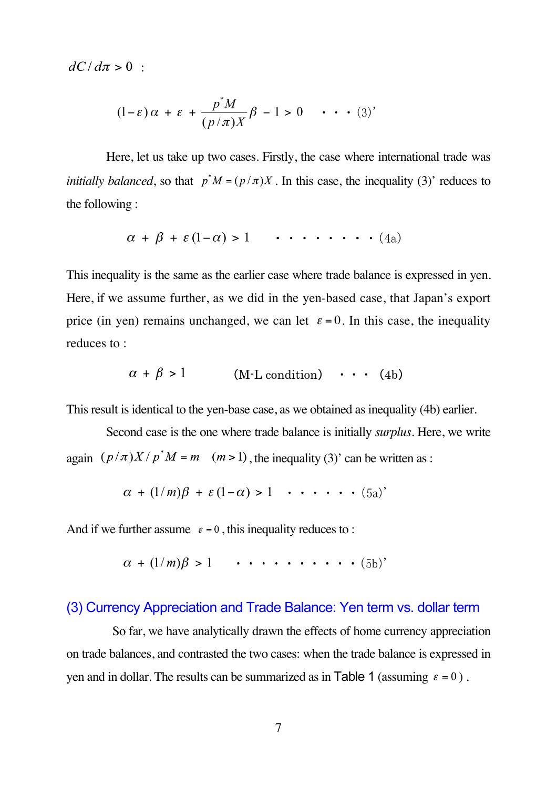$dC/d\pi > 0$ :

$$
(1 - \varepsilon)\alpha + \varepsilon + \frac{p^* M}{(p/\pi)X} \beta - 1 > 0 \qquad \cdots \qquad (3)'
$$

Here, let us take up two cases. Firstly, the case where international trade was *initially balanced*, so that  $p^*M = (p/\pi)X$ . In this case, the inequality (3)' reduces to the following :

$$
\alpha + \beta + \varepsilon (1 - \alpha) > 1 \qquad \cdots \qquad (4a)
$$

This inequality is the same as the earlier case where trade balance is expressed in yen. Here, if we assume further, as we did in the yen-based case, that Japan's export price (in yen) remains unchanged, we can let  $\varepsilon = 0$ . In this case, the inequality reduces to :

$$
\alpha + \beta > 1 \qquad \text{(M-L condition)} \qquad (4b)
$$

This result is identical to the yen-base case, as we obtained as inequality (4b) earlier.

Second case is the one where trade balance is initially *surplus*. Here, we write again  $(p/\pi)X/p^*M = m$   $(m>1)$ , the inequality (3)' can be written as :

$$
\alpha + (1/m)\beta + \varepsilon(1-\alpha) > 1 \cdots \cdots (5a)
$$

And if we further assume  $\varepsilon = 0$ , this inequality reduces to :

 $\alpha + (1/m)\beta > 1$  .......... (5b)'

#### (3) Currency Appreciation and Trade Balance: Yen term vs. dollar term

So far, we have analytically drawn the effects of home currency appreciation on trade balances, and contrasted the two cases: when the trade balance is expressed in yen and in dollar. The results can be summarized as in Table 1 (assuming  $\varepsilon = 0$ ).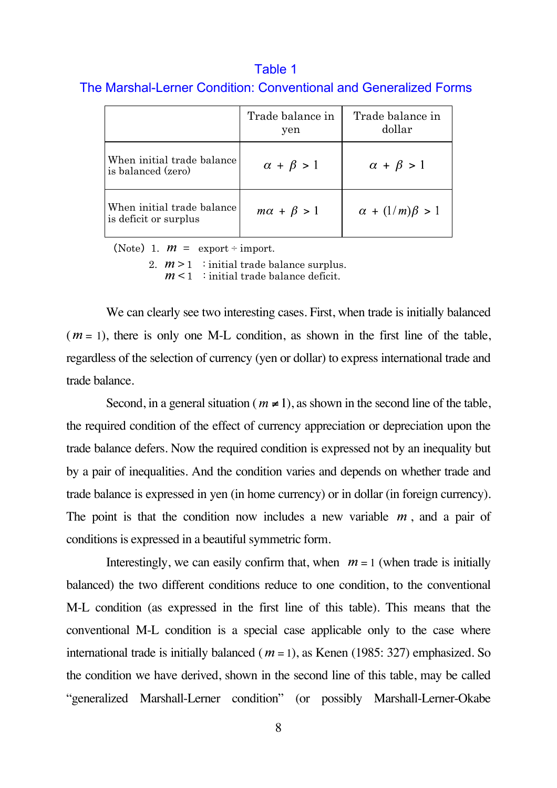# Table 1 The Marshal-Lerner Condition: Conventional and Generalized Forms

|                                                     | Trade balance in<br>yen | Trade balance in<br>dollar |
|-----------------------------------------------------|-------------------------|----------------------------|
| When initial trade balance<br>is balanced (zero)    | $\alpha + \beta > 1$    | $\alpha + \beta > 1$       |
| When initial trade balance<br>is deficit or surplus | $m\alpha + \beta > 1$   | $\alpha + (1/m)\beta > 1$  |

(Note) 1.  $m =$  export ÷ import.

2.  $m > 1$ : initial trade balance surplus.

 $m < 1$ : initial trade balance deficit.

We can clearly see two interesting cases. First, when trade is initially balanced  $(m = 1)$ , there is only one M-L condition, as shown in the first line of the table, regardless of the selection of currency (yen or dollar) to express international trade and trade balance.

Second, in a general situation ( $m \neq 1$ ), as shown in the second line of the table, the required condition of the effect of currency appreciation or depreciation upon the trade balance defers. Now the required condition is expressed not by an inequality but by a pair of inequalities. And the condition varies and depends on whether trade and trade balance is expressed in yen (in home currency) or in dollar (in foreign currency). The point is that the condition now includes a new variable  $m$ , and a pair of conditions is expressed in a beautiful symmetric form.

Interestingly, we can easily confirm that, when  $m = 1$  (when trade is initially balanced) the two different conditions reduce to one condition, to the conventional M-L condition (as expressed in the first line of this table). This means that the conventional M-L condition is a special case applicable only to the case where international trade is initially balanced ( $m = 1$ ), as Kenen (1985: 327) emphasized. So the condition we have derived, shown in the second line of this table, may be called "generalized Marshall-Lerner condition" (or possibly Marshall-Lerner-Okabe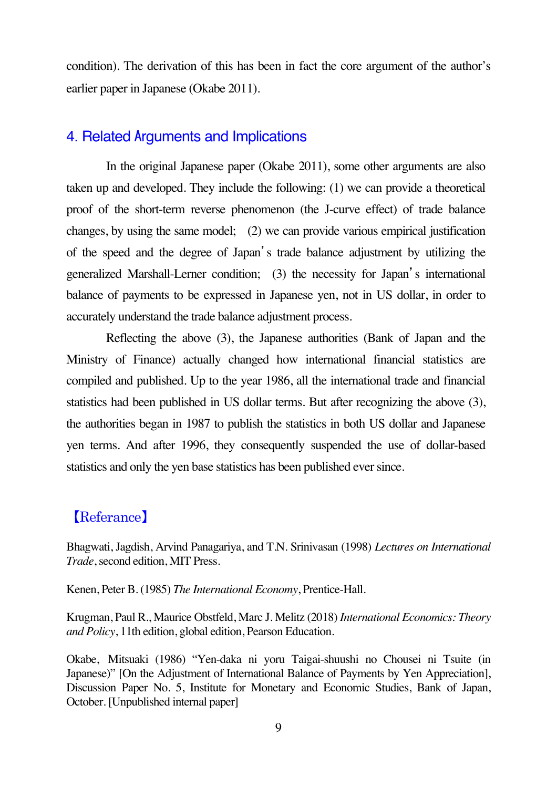condition). The derivation of this has been in fact the core argument of the author's earlier paper in Japanese (Okabe 2011).

## 4. Related Arguments and Implications

In the original Japanese paper (Okabe 2011), some other arguments are also taken up and developed. They include the following: (1) we can provide a theoretical proof of the short-term reverse phenomenon (the J-curve effect) of trade balance changes, by using the same model; (2) we can provide various empirical justification of the speed and the degree of Japan's trade balance adjustment by utilizing the generalized Marshall-Lerner condition; (3) the necessity for Japan's international balance of payments to be expressed in Japanese yen, not in US dollar, in order to accurately understand the trade balance adjustment process.

Reflecting the above (3), the Japanese authorities (Bank of Japan and the Ministry of Finance) actually changed how international financial statistics are compiled and published. Up to the year 1986, all the international trade and financial statistics had been published in US dollar terms. But after recognizing the above (3), the authorities began in 1987 to publish the statistics in both US dollar and Japanese yen terms. And after 1996, they consequently suspended the use of dollar-based statistics and only the yen base statistics has been published ever since.

# 【Referance】

Bhagwati, Jagdish, Arvind Panagariya, and T.N. Srinivasan (1998) *Lectures on International Trade*, second edition, MIT Press.

Kenen, Peter B. (1985) *The International Economy*, Prentice-Hall.

Krugman, Paul R., Maurice Obstfeld, Marc J. Melitz (2018) *International Economics: Theory and Policy*, 11th edition, global edition, Pearson Education.

Okabe, Mitsuaki (1986) "Yen-daka ni yoru Taigai-shuushi no Chousei ni Tsuite (in Japanese)" [On the Adjustment of International Balance of Payments by Yen Appreciation], Discussion Paper No. 5, Institute for Monetary and Economic Studies, Bank of Japan, October. [Unpublished internal paper]